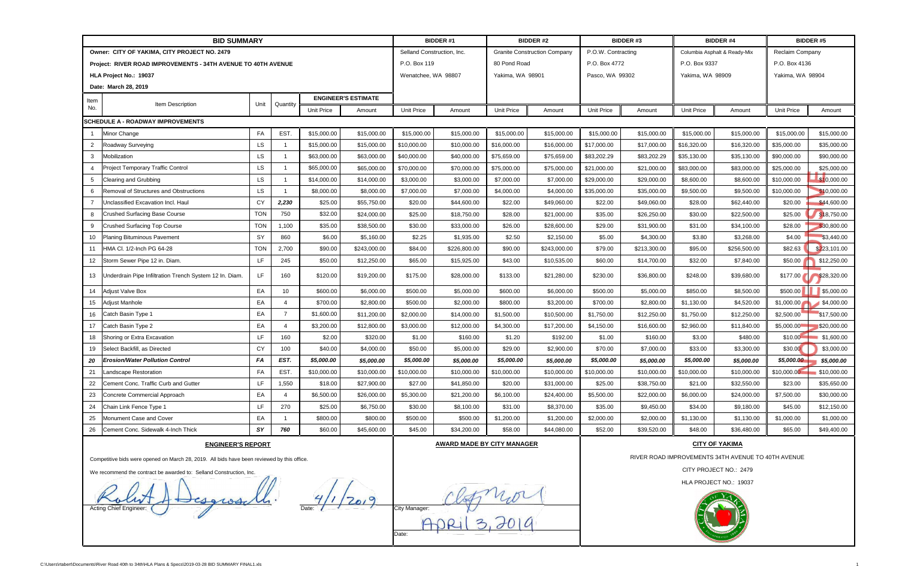|                                                                                             | <b>BID SUMMARY</b>                                      |            |                 | <b>BIDDER#1</b>   |                            | <b>BIDDER#2</b>   |                                   | <b>BIDDER#3</b> |                                     | <b>BIDDER#4</b>        |                                                    | <b>BIDDER#5</b> |                              |                   |                  |  |
|---------------------------------------------------------------------------------------------|---------------------------------------------------------|------------|-----------------|-------------------|----------------------------|-------------------|-----------------------------------|-----------------|-------------------------------------|------------------------|----------------------------------------------------|-----------------|------------------------------|-------------------|------------------|--|
| Owner: CITY OF YAKIMA, CITY PROJECT NO. 2479                                                |                                                         |            |                 |                   |                            |                   | Selland Construction, Inc.        |                 | <b>Granite Construction Company</b> |                        | P.O.W. Contracting                                 |                 | Columbia Asphalt & Ready-Mix |                   | Reclaim Company  |  |
| Project: RIVER ROAD IMPROVEMENTS - 34TH AVENUE TO 40TH AVENUE                               |                                                         |            |                 |                   |                            |                   | P.O. Box 119                      |                 | 80 Pond Road                        |                        | P.O. Box 4772                                      |                 | P.O. Box 9337                |                   | P.O. Box 4136    |  |
| HLA Project No.: 19037                                                                      |                                                         |            |                 |                   |                            |                   | Wenatchee, WA 98807               |                 | Yakima, WA 98901                    |                        | Pasco, WA 99302                                    |                 | Yakima, WA 98909             |                   | Yakima, WA 98904 |  |
|                                                                                             | Date: March 28, 2019                                    |            |                 |                   |                            |                   |                                   |                 |                                     |                        |                                                    |                 |                              |                   |                  |  |
| Item                                                                                        | Item Description<br>Unit<br>Quantity                    |            |                 |                   | <b>ENGINEER'S ESTIMATE</b> |                   |                                   |                 |                                     |                        |                                                    |                 |                              |                   |                  |  |
| No.                                                                                         |                                                         |            |                 | <b>Unit Price</b> | Amount                     | <b>Unit Price</b> | Amount                            | Unit Price      | Amount                              | Unit Price             | Amount                                             | Unit Price      | Amount                       | <b>Unit Price</b> | Amount           |  |
|                                                                                             | SCHEDULE A - ROADWAY IMPROVEMENTS                       |            |                 |                   |                            |                   |                                   |                 |                                     |                        |                                                    |                 |                              |                   |                  |  |
|                                                                                             | Minor Change                                            | FA         | EST.            | \$15,000.00       | \$15,000.00                | \$15,000.00       | \$15,000.00                       | \$15,000.00     | \$15,000.00                         | \$15,000.00            | \$15,000.00                                        | \$15,000.00     | \$15,000.00                  | \$15,000.00       | \$15,000.00      |  |
| $\overline{2}$                                                                              | Roadway Surveying                                       | LS         |                 | \$15,000.00       | \$15,000.00                | \$10,000.00       | \$10,000.00                       | \$16,000.00     | \$16,000.00                         | \$17,000.00            | \$17,000.00                                        | \$16,320.00     | \$16,320.00                  | \$35,000.00       | \$35,000.00      |  |
| 3                                                                                           | Mobilization                                            | LS         |                 | \$63,000.00       | \$63,000.00                | \$40,000.00       | \$40,000.00                       | \$75,659.00     | \$75,659.00                         | \$83,202.29            | \$83,202.29                                        | \$35,130.00     | \$35,130.00                  | \$90,000.00       | \$90,000.00      |  |
|                                                                                             | Project Temporary Traffic Control                       | <b>LS</b>  |                 | \$65,000.00       | \$65,000.00                | \$70,000.00       | \$70,000.00                       | \$75,000.00     | \$75,000.00                         | \$21,000.00            | \$21,000.00                                        | \$83,000.00     | \$83,000.00                  | \$25,000.00       | \$25,000.00      |  |
|                                                                                             | Clearing and Grubbing                                   | <b>LS</b>  |                 | \$14,000.00       | \$14,000.00                | \$3,000.00        | \$3,000.00                        | \$7,000.00      | \$7,000.00                          | \$29,000.00            | \$29,000.00                                        | \$8,600.00      | \$8,600.00                   | \$10,000.00       | \$10,000.00      |  |
| 6                                                                                           | Removal of Structures and Obstructions                  | LS         |                 | \$8,000.00        | \$8,000.00                 | \$7,000.00        | \$7,000.00                        | \$4,000.00      | \$4,000.00                          | \$35,000.00            | \$35,000.00                                        | \$9,500.00      | \$9,500.00                   | \$10,000.00       | 0,000.00         |  |
|                                                                                             | Unclassified Excavation Incl. Haul                      | CY         | 2,230           | \$25.00           | \$55,750.00                | \$20.00           | \$44,600.00                       | \$22.00         | \$49,060.00                         | \$22.00                | \$49,060.00                                        | \$28.00         | \$62,440.00                  | \$20.00           | \$44,600.00      |  |
| 8                                                                                           | <b>Crushed Surfacing Base Course</b>                    | <b>TON</b> | 750             | \$32.00           | \$24,000.00                | \$25.00           | \$18,750.00                       | \$28.00         | \$21,000.00                         | \$35.00                | \$26,250.00                                        | \$30.00         | \$22,500.00                  | \$25.00           | \$18,750.00      |  |
| 9                                                                                           | <b>Crushed Surfacing Top Course</b>                     | <b>TON</b> | 1,100           | \$35.00           | \$38,500.00                | \$30.00           | \$33,000.00                       | \$26.00         | \$28,600.00                         | \$29.00                | \$31,900.00                                        | \$31.00         | \$34,100.00                  | \$28.00           | \$30,800.00      |  |
| 10                                                                                          | Planing Bituminous Pavement                             | SY         | 860             | \$6.00            | \$5,160.00                 | \$2.25            | \$1,935.00                        | \$2.50          | \$2,150.00                          | \$5.00                 | \$4,300.00                                         | \$3.80          | \$3,268.00                   | \$4.00            | \$3,440.00       |  |
| 11                                                                                          | HMA Cl. 1/2-Inch PG 64-28                               | <b>TON</b> | 2,700           | \$90.00           | \$243,000.00               | \$84.00           | \$226,800.00                      | \$90.00         | \$243,000.00                        | \$79.00                | \$213,300.00                                       | \$95.00         | \$256,500.00                 | \$82.63           | \$223,101.00     |  |
| 12                                                                                          | Storm Sewer Pipe 12 in. Diam.                           | LF         | 245             | \$50.00           | \$12,250.00                | \$65.00           | \$15,925.00                       | \$43.00         | \$10,535.00                         | \$60.00                | \$14,700.00                                        | \$32.00         | \$7,840.00                   | \$50.00           | \$12,250.00      |  |
| 13                                                                                          | Underdrain Pipe Infiltration Trench System 12 In. Diam. | LF.        | 160             | \$120.00          | \$19,200.00                | \$175.00          | \$28,000.00                       | \$133.00        | \$21,280.00                         | \$230.00               | \$36,800.00                                        | \$248.00        | \$39,680.00                  | \$177.00          | \$28,320.00      |  |
| 14                                                                                          | Adjust Valve Box                                        | EA         | 10 <sup>1</sup> | \$600.00          | \$6,000.00                 | \$500.00          | \$5,000.00                        | \$600.00        | \$6,000.00                          | \$500.00               | \$5,000.00                                         | \$850.00        | \$8,500.00                   | \$500.00          | \$5,000.00       |  |
| 15                                                                                          | Adjust Manhole                                          | EA         |                 | \$700.00          | \$2,800.00                 | \$500.00          | \$2,000.00                        | \$800.00        | \$3,200.00                          | \$700.00               | \$2,800.00                                         | \$1,130.00      | \$4,520.00                   | \$1,000.00        | \$4,000.00       |  |
| 16                                                                                          | Catch Basin Type 1                                      | EA         | $\overline{7}$  | \$1,600.00        | \$11,200.00                | \$2,000.00        | \$14,000.00                       | \$1,500.00      | \$10,500.00                         | \$1,750.00             | \$12,250.00                                        | \$1,750.00      | \$12,250.00                  | \$2,500.00        | \$17,500.00      |  |
| 17                                                                                          | Catch Basin Type 2                                      | EA         |                 | \$3,200.00        | \$12,800.00                | \$3,000.00        | \$12,000.00                       | \$4,300.00      | \$17,200.00                         | \$4,150.00             | \$16,600.00                                        | \$2,960.00      | \$11,840.00                  | \$5,000.00        | \$20,000.00      |  |
| 18                                                                                          | Shoring or Extra Excavation                             | LF         | 160             | \$2.00            | \$320.00                   | \$1.00            | \$160.00                          | \$1.20          | \$192.00                            | \$1.00                 | \$160.00                                           | \$3.00          | \$480.00                     | \$10.00           | \$1,600.00       |  |
| 19                                                                                          | Select Backfill, as Directed                            | CY         | 100             | \$40.00           | \$4,000.00                 | \$50.00           | \$5,000.00                        | \$29.00         | \$2,900.00                          | \$70.00                | \$7,000.00                                         | \$33.00         | \$3,300.00                   | \$30.00           | \$3,000.00       |  |
| 20                                                                                          | <b>Erosion/Water Pollution Control</b>                  | FA         | EST.            | \$5,000.00        | \$5,000.00                 | \$5,000.00        | \$5,000.00                        | \$5,000.00      | \$5,000.00                          | \$5,000.00             | \$5,000.00                                         | \$5,000.00      | \$5,000.00                   | \$5,000.00        | \$5,000.00       |  |
| 21                                                                                          | Landscape Restoration                                   | FA         | EST.            | \$10,000.00       | \$10,000.00                | \$10,000.00       | \$10,000.00                       | \$10,000.00     | \$10,000.00                         | \$10,000.00            | \$10,000.00                                        | \$10,000.00     | \$10,000.00                  | \$10,000.00       | \$10,000.00      |  |
| 22                                                                                          | Cement Conc. Traffic Curb and Gutter                    | LF         | 1,550           | \$18.00           | \$27,900.00                | \$27.00           | \$41,850.00                       | \$20.00         | \$31,000.00                         | \$25.00                | \$38,750.00                                        | \$21.00         | \$32,550.00                  | \$23.00           | \$35,650.00      |  |
| 23                                                                                          | Concrete Commercial Approach                            | EA         |                 | \$6,500.00        | \$26,000.00                | \$5,300.00        | \$21,200.00                       | \$6,100.00      | \$24,400.00                         | \$5,500.00             | \$22,000.00                                        | \$6,000.00      | \$24,000.00                  | \$7,500.00        | \$30,000.00      |  |
| 24                                                                                          | Chain Link Fence Type 1                                 | LF.        | 270             | \$25.00           | \$6,750.00                 | \$30.00           | \$8,100.00                        | \$31.00         | \$8,370.00                          | \$35.00                | \$9,450.00                                         | \$34.00         | \$9,180.00                   | \$45.00           | \$12,150.00      |  |
| 25                                                                                          | Monument Case and Cover                                 | EA         |                 | \$800.00          | \$800.00                   | \$500.00          | \$500.00                          | \$1,200.00      | \$1,200.00                          | \$2,000.00             | \$2,000.00                                         | \$1,130.00      | \$1,130.00                   | \$1,000.00        | \$1,000.00       |  |
| 26                                                                                          | Cement Conc. Sidewalk 4-Inch Thick                      | SΥ         | 760             | \$60.00           | \$45,600.00                | \$45.00           | \$34,200.00                       | \$58.00         | \$44,080.00                         | \$52.00                | \$39,520.00                                        | \$48.00         | \$36,480.00                  | \$65.00           | \$49,400.00      |  |
| <b>ENGINEER'S REPORT</b>                                                                    |                                                         |            |                 |                   |                            |                   | <b>AWARD MADE BY CITY MANAGER</b> |                 |                                     |                        | <b>CITY OF YAKIMA</b>                              |                 |                              |                   |                  |  |
| Competitive bids were opened on March 28, 2019. All bids have been reviewed by this office. |                                                         |            |                 |                   |                            |                   |                                   |                 |                                     |                        | RIVER ROAD IMPROVEMENTS 34TH AVENUE TO 40TH AVENUE |                 |                              |                   |                  |  |
| We recommend the contract be awarded to: Selland Construction, Inc.                         |                                                         |            |                 |                   |                            |                   |                                   |                 |                                     |                        | CITY PROJECT NO.: 2479                             |                 |                              |                   |                  |  |
|                                                                                             |                                                         |            |                 |                   |                            |                   |                                   |                 |                                     | HLA PROJECT NO.: 19037 |                                                    |                 |                              |                   |                  |  |
| Actina Chief Enaineer                                                                       |                                                         |            |                 |                   |                            |                   | City Manager:<br>Date:            |                 |                                     |                        |                                                    |                 |                              |                   |                  |  |